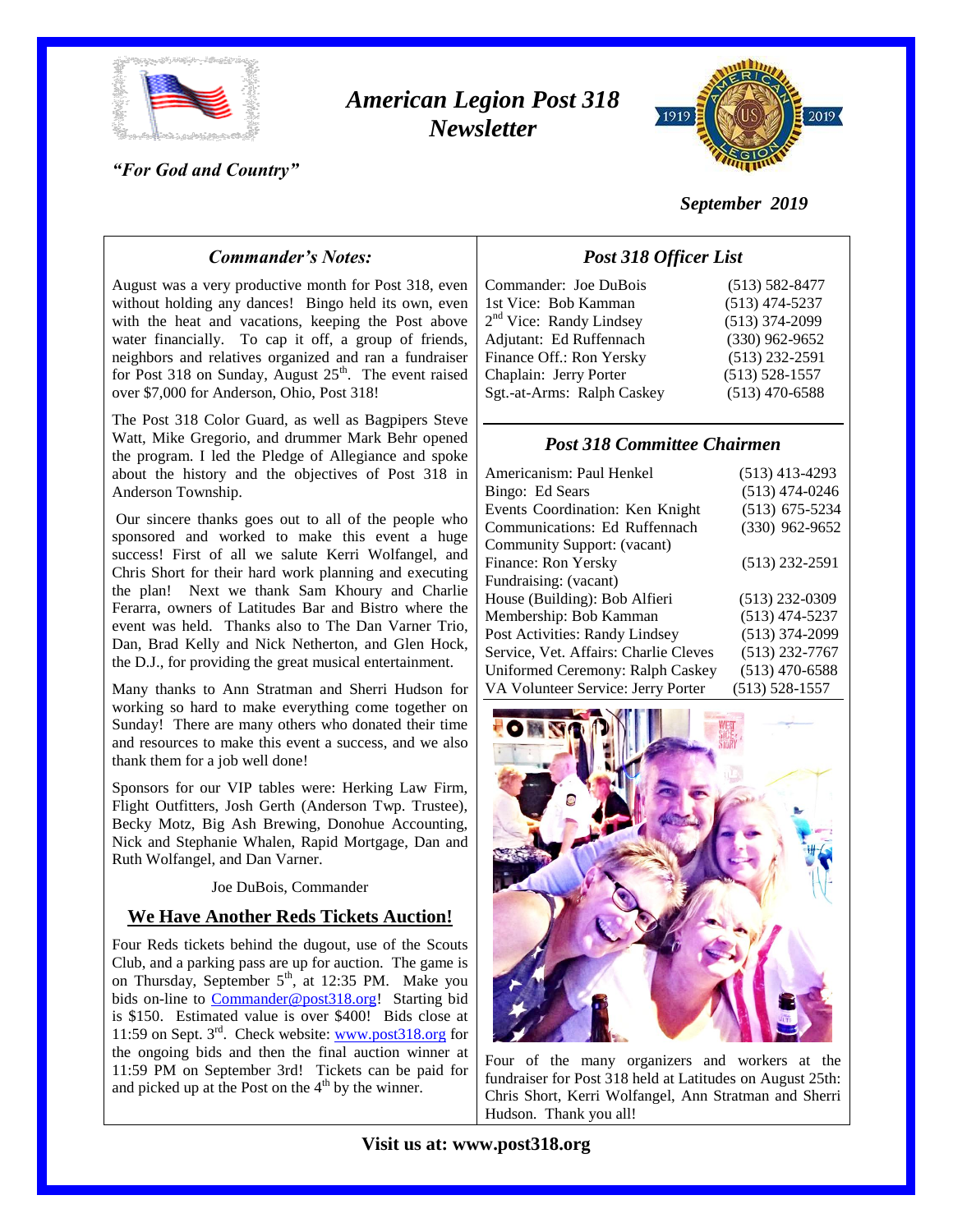

# *American Legion Post 318 Newsletter*



## *"For God and Country"*

## *September 2019*

## *Commander's Notes:*

August was a very productive month for Post 318, even without holding any dances! Bingo held its own, even with the heat and vacations, keeping the Post above water financially. To cap it off, a group of friends, neighbors and relatives organized and ran a fundraiser for Post 318 on Sunday, August  $25<sup>th</sup>$ . The event raised over \$7,000 for Anderson, Ohio, Post 318!

The Post 318 Color Guard, as well as Bagpipers Steve Watt, Mike Gregorio, and drummer Mark Behr opened the program. I led the Pledge of Allegiance and spoke about the history and the objectives of Post 318 in Anderson Township.

Our sincere thanks goes out to all of the people who sponsored and worked to make this event a huge success! First of all we salute Kerri Wolfangel, and Chris Short for their hard work planning and executing the plan! Next we thank Sam Khoury and Charlie Ferarra, owners of Latitudes Bar and Bistro where the event was held. Thanks also to The Dan Varner Trio, Dan, Brad Kelly and Nick Netherton, and Glen Hock, the D.J., for providing the great musical entertainment.

Many thanks to Ann Stratman and Sherri Hudson for working so hard to make everything come together on Sunday! There are many others who donated their time and resources to make this event a success, and we also thank them for a job well done!

Sponsors for our VIP tables were: Herking Law Firm, Flight Outfitters, Josh Gerth (Anderson Twp. Trustee), Becky Motz, Big Ash Brewing, Donohue Accounting, Nick and Stephanie Whalen, Rapid Mortgage, Dan and Ruth Wolfangel, and Dan Varner.

#### Joe DuBois, Commander

#### **We Have Another Reds Tickets Auction!**

Four Reds tickets behind the dugout, use of the Scouts Club, and a parking pass are up for auction. The game is on Thursday, September 5<sup>th</sup>, at 12:35 PM. Make you bids on-line to [Commander@post318.org!](mailto:Commander@post318.org) Starting bid is \$150. Estimated value is over \$400! Bids close at 11:59 on Sept.  $3<sup>rd</sup>$ . Check website: www.post $318.\text{org}$  for the ongoing bids and then the final auction winner at 11:59 PM on September 3rd! Tickets can be paid for and picked up at the Post on the  $4<sup>th</sup>$  by the winner.

| Commander: Joe DuBois               | $(513) 582 - 8477$ |
|-------------------------------------|--------------------|
| 1st Vice: Bob Kamman                | $(513)$ 474-5237   |
| 2 <sup>nd</sup> Vice: Randy Lindsey | $(513)$ 374-2099   |
| Adjutant: Ed Ruffennach             | $(330)$ 962-9652   |
| Finance Off.: Ron Yersky            | $(513)$ 232-2591   |
| Chaplain: Jerry Porter              | $(513) 528 - 1557$ |
| Sgt.-at-Arms: Ralph Caskey          | $(513)$ 470-6588   |
|                                     |                    |

*Post 318 Officer List*

### *Post 318 Committee Chairmen*

| Americanism: Paul Henkel              | $(513)$ 413-4293   |
|---------------------------------------|--------------------|
| Bingo: Ed Sears                       | $(513)$ 474-0246   |
| Events Coordination: Ken Knight       | $(513)$ 675-5234   |
| Communications: Ed Ruffennach         | $(330)$ 962-9652   |
| Community Support: (vacant)           |                    |
| Finance: Ron Yersky                   | $(513)$ 232-2591   |
| Fundraising: (vacant)                 |                    |
| House (Building): Bob Alfieri         | $(513)$ 232-0309   |
| Membership: Bob Kamman                | $(513)$ 474-5237   |
| Post Activities: Randy Lindsey        | $(513)$ 374-2099   |
| Service, Vet. Affairs: Charlie Cleves | $(513)$ 232-7767   |
| Uniformed Ceremony: Ralph Caskey      | $(513)$ 470-6588   |
| VA Volunteer Service: Jerry Porter    | $(513) 528 - 1557$ |



Four of the many organizers and workers at the fundraiser for Post 318 held at Latitudes on August 25th: Chris Short, Kerri Wolfangel, Ann Stratman and Sherri Hudson. Thank you all!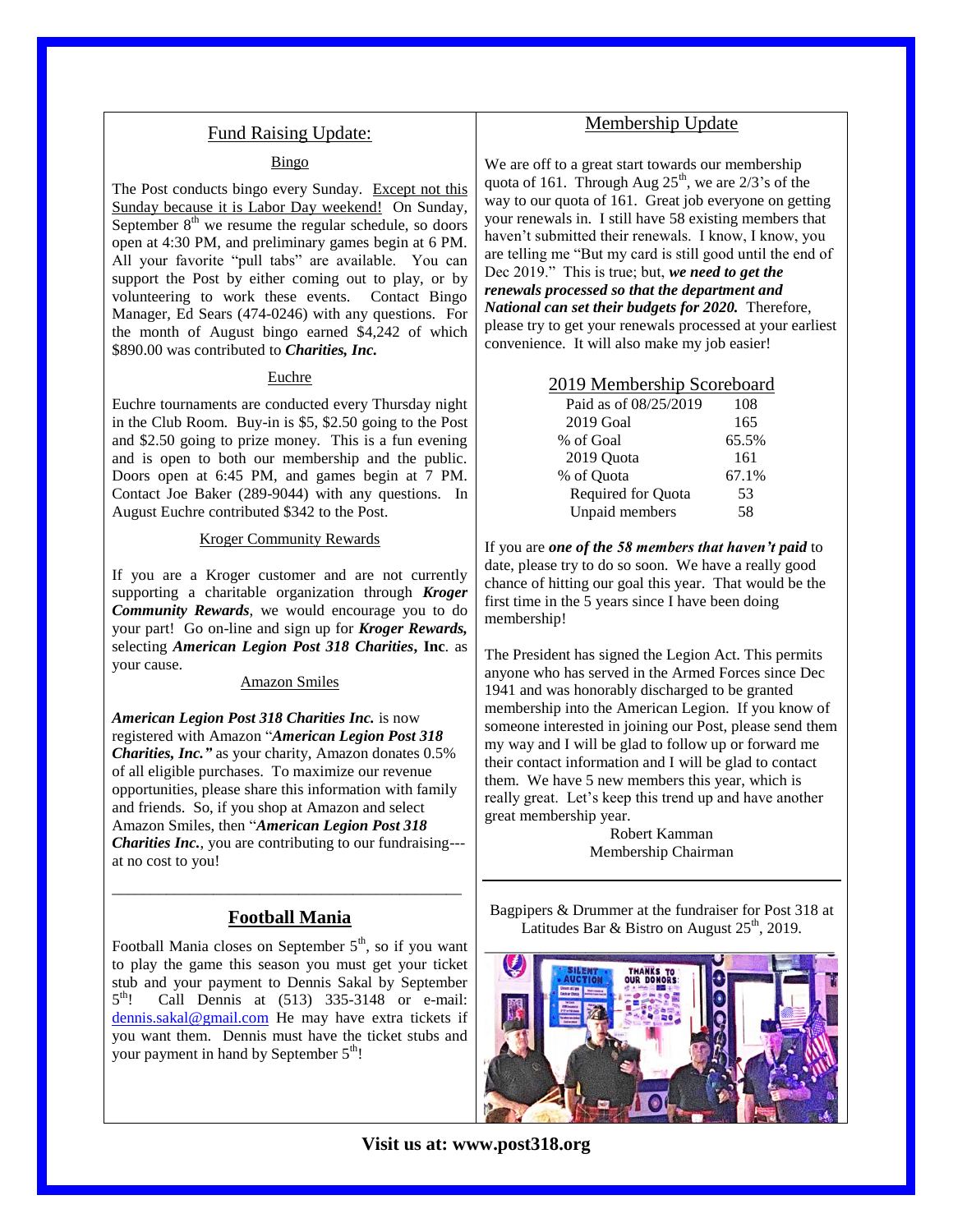## Fund Raising Update:

#### Bingo

The Post conducts bingo every Sunday. Except not this Sunday because it is Labor Day weekend! On Sunday, September  $8<sup>th</sup>$  we resume the regular schedule, so doors open at 4:30 PM, and preliminary games begin at 6 PM. All your favorite "pull tabs" are available. You can support the Post by either coming out to play, or by volunteering to work these events. Contact Bingo Manager, Ed Sears (474-0246) with any questions. For the month of August bingo earned \$4,242 of which \$890.00 was contributed to *Charities, Inc.*

#### Euchre

Euchre tournaments are conducted every Thursday night in the Club Room. Buy-in is \$5, \$2.50 going to the Post and \$2.50 going to prize money. This is a fun evening and is open to both our membership and the public. Doors open at 6:45 PM, and games begin at 7 PM. Contact Joe Baker (289-9044) with any questions. In August Euchre contributed \$342 to the Post.

#### Kroger Community Rewards

If you are a Kroger customer and are not currently supporting a charitable organization through *Kroger Community Rewards*, we would encourage you to do your part! Go on-line and sign up for *Kroger Rewards,*  selecting *American Legion Post 318 Charities***, Inc**. as your cause.

#### Amazon Smiles

*American Legion Post 318 Charities Inc.* is now registered with Amazon "*American Legion Post 318 Charities, Inc."* as your charity, Amazon donates 0.5% of all eligible purchases. To maximize our revenue opportunities, please share this information with family and friends. So, if you shop at Amazon and select Amazon Smiles, then "*American Legion Post 318 Charities Inc.*, you are contributing to our fundraising-- at no cost to you!

## \_\_\_\_\_\_\_\_\_\_\_\_\_\_\_\_\_\_\_\_\_\_\_\_\_\_\_\_\_\_\_\_\_\_\_\_\_\_\_\_\_\_\_\_\_ **Football Mania**

Football Mania closes on September  $5<sup>th</sup>$ , so if you want to play the game this season you must get your ticket stub and your payment to Dennis Sakal by September  $5^{\text{th}}!$ Call Dennis at (513) 335-3148 or e-mail: [dennis.sakal@gmail.com](mailto:dennis.sakal@gmail.com) He may have extra tickets if you want them. Dennis must have the ticket stubs and your payment in hand by September  $5<sup>th</sup>$ !

## Membership Update

We are off to a great start towards our membership quota of 161. Through Aug  $25<sup>th</sup>$ , we are  $2/3$ 's of the way to our quota of 161. Great job everyone on getting your renewals in. I still have 58 existing members that haven't submitted their renewals. I know, I know, you are telling me "But my card is still good until the end of Dec 2019." This is true; but, *we need to get the renewals processed so that the department and National can set their budgets for 2020.* Therefore, please try to get your renewals processed at your earliest convenience. It will also make my job easier!

#### 2019 Membership Scoreboard

| Paid as of 08/25/2019 | 108   |
|-----------------------|-------|
| 2019 Goal             | 165   |
| % of Goal             | 65.5% |
| 2019 Quota            | 161   |
| % of Quota            | 67.1% |
| Required for Quota    | 53    |
| Unpaid members        | 58    |

If you are *one of the 58 members that haven't paid* to date, please try to do so soon. We have a really good chance of hitting our goal this year. That would be the first time in the 5 years since I have been doing membership!

The President has signed the Legion Act. This permits anyone who has served in the Armed Forces since Dec 1941 and was honorably discharged to be granted membership into the American Legion. If you know of someone interested in joining our Post, please send them my way and I will be glad to follow up or forward me their contact information and I will be glad to contact them. We have 5 new members this year, which is really great. Let's keep this trend up and have another great membership year.

> Robert Kamman Membership Chairman

Bagpipers & Drummer at the fundraiser for Post 318 at Latitudes Bar & Bistro on August  $25<sup>th</sup>$ , 2019.

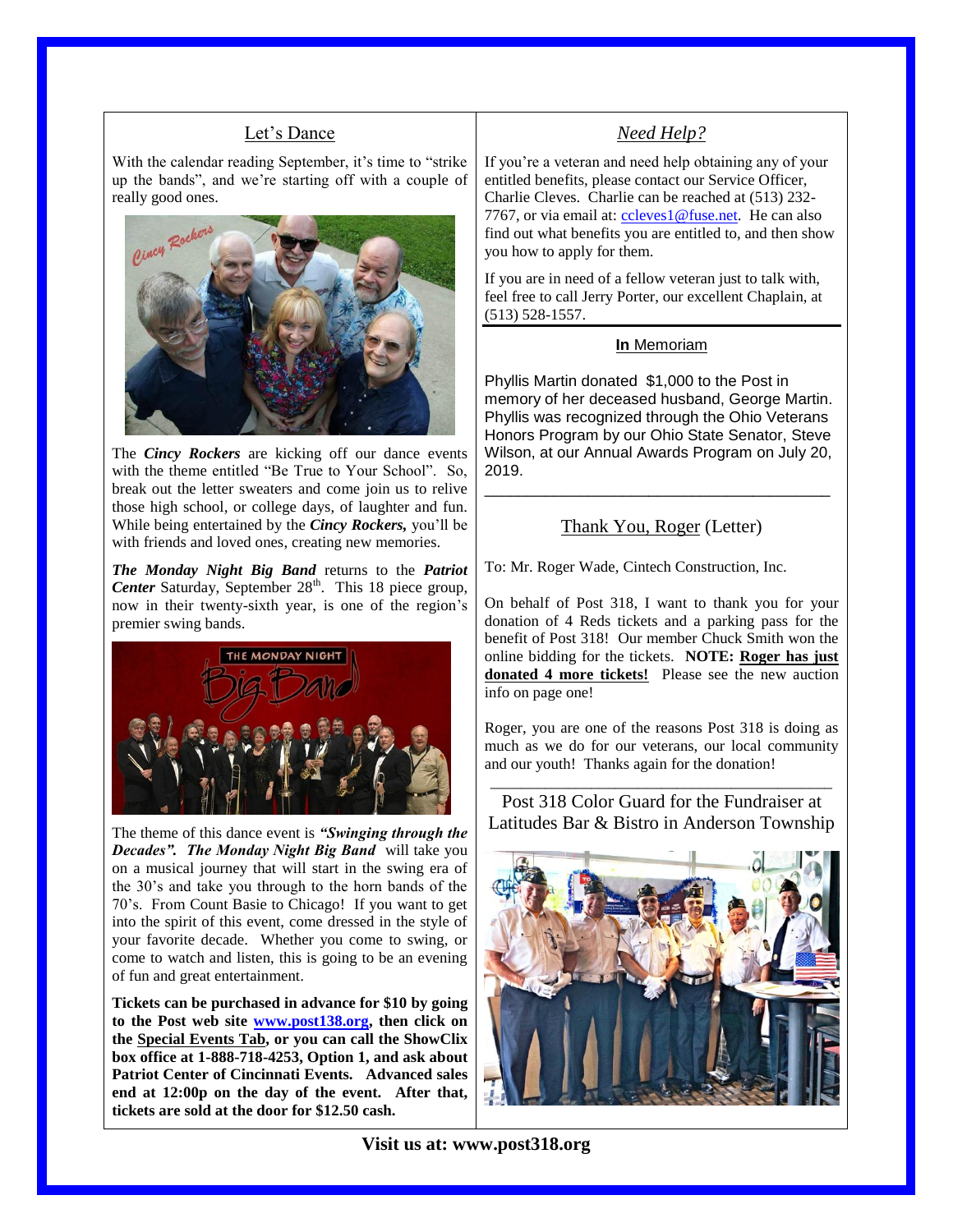## Let's Dance

With the calendar reading September, it's time to "strike up the bands", and we're starting off with a couple of really good ones.



The *Cincy Rockers* are kicking off our dance events with the theme entitled "Be True to Your School". So, break out the letter sweaters and come join us to relive those high school, or college days, of laughter and fun. While being entertained by the *Cincy Rockers,* you'll be with friends and loved ones, creating new memories.

*The Monday Night Big Band* returns to the *Patriot Center* Saturday, September 28<sup>th</sup>. This 18 piece group, now in their twenty-sixth year, is one of the region's premier swing bands.



The theme of this dance event is *"Swinging through the Decades". The Monday Night Big Band* will take you on a musical journey that will start in the swing era of the 30's and take you through to the horn bands of the 70's. From Count Basie to Chicago! If you want to get into the spirit of this event, come dressed in the style of your favorite decade. Whether you come to swing, or come to watch and listen, this is going to be an evening of fun and great entertainment.

**Tickets can be purchased in advance for \$10 by going to the Post web site [www.post138.org,](http://www.post138.org/) then click on the Special Events Tab, or you can call the ShowClix box office at 1-888-718-4253, Option 1, and ask about Patriot Center of Cincinnati Events. Advanced sales end at 12:00p on the day of the event. After that, tickets are sold at the door for \$12.50 cash.**

## *Need Help?*

If you're a veteran and need help obtaining any of your entitled benefits, please contact our Service Officer, Charlie Cleves. Charlie can be reached at (513) 232 7767, or via email at: [ccleves1@fuse.net.](mailto:ccleves1@fuse.net) He can also find out what benefits you are entitled to, and then show you how to apply for them.

If you are in need of a fellow veteran just to talk with, feel free to call Jerry Porter, our excellent Chaplain, at (513) 528-1557.

#### **In** Memoriam

Phyllis Martin donated \$1,000 to the Post in memory of her deceased husband, George Martin. Phyllis was recognized through the Ohio Veterans Honors Program by our Ohio State Senator, Steve Wilson, at our Annual Awards Program on July 20, 2019.

## Thank You, Roger (Letter)

\_\_\_\_\_\_\_\_\_\_\_\_\_\_\_\_\_\_\_\_\_\_\_\_\_\_\_\_\_\_\_\_\_\_\_\_\_\_\_\_

To: Mr. Roger Wade, Cintech Construction, Inc.

On behalf of Post 318, I want to thank you for your donation of 4 Reds tickets and a parking pass for the benefit of Post 318! Our member Chuck Smith won the online bidding for the tickets. **NOTE: Roger has just donated 4 more tickets!** Please see the new auction info on page one!

Roger, you are one of the reasons Post 318 is doing as much as we do for our veterans, our local community and our youth! Thanks again for the donation!

\_\_\_\_\_\_\_\_\_\_\_\_\_\_\_\_\_\_\_\_\_\_\_\_\_\_\_\_\_\_\_\_\_\_\_\_\_\_\_\_\_\_\_\_ Post 318 Color Guard for the Fundraiser at Latitudes Bar & Bistro in Anderson Township